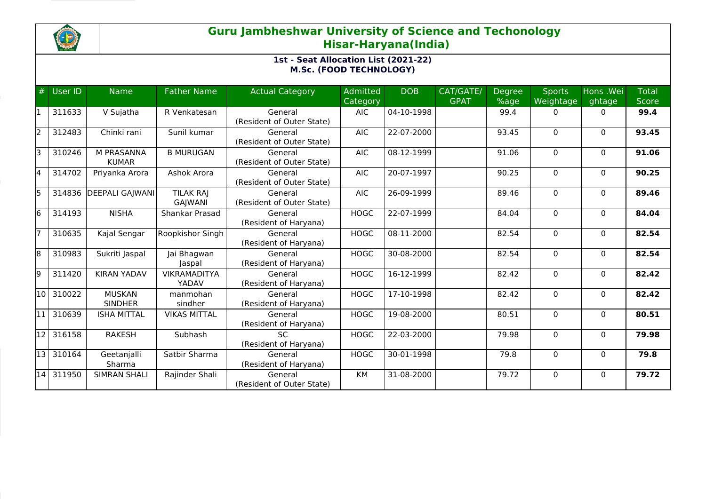

# **Guru Jambheshwar University of Science and Techonology Hisar-Haryana(India)**

## **1st - Seat Allocation List (2021-22) M.Sc. (FOOD TECHNOLOGY)**

| #  | User ID   | <b>Name</b>                     | <b>Father Name</b>                 | <b>Actual Category</b>               | Admitted<br>Category | <b>DOB</b> | CAT/GATE/<br><b>GPAT</b> | <b>Degree</b><br>%age | <b>Sports</b><br>Weightage | Hons .Wei<br>ghtage | <b>Total</b><br><b>Score</b> |
|----|-----------|---------------------------------|------------------------------------|--------------------------------------|----------------------|------------|--------------------------|-----------------------|----------------------------|---------------------|------------------------------|
|    | 311633    | V Sujatha                       | R Venkatesan                       | General<br>(Resident of Outer State) | <b>AIC</b>           | 04-10-1998 |                          | 99.4                  | 0                          | 0                   | 99.4                         |
| l2 | 312483    | Chinki rani                     | Sunil kumar                        | General<br>(Resident of Outer State) | <b>AIC</b>           | 22-07-2000 |                          | 93.45                 | $\Omega$                   | $\Omega$            | 93.45                        |
| lз | 310246    | M PRASANNA<br><b>KUMAR</b>      | <b>B MURUGAN</b>                   | General<br>(Resident of Outer State) | <b>AIC</b>           | 08-12-1999 |                          | 91.06                 | $\Omega$                   | $\Omega$            | 91.06                        |
| l4 | 314702    | Priyanka Arora                  | Ashok Arora                        | General<br>(Resident of Outer State) | <b>AIC</b>           | 20-07-1997 |                          | 90.25                 | 0                          | $\mathbf{0}$        | 90.25                        |
| l5 | 314836    | <b>DEEPALI GAJWANI</b>          | <b>TILAK RAI</b><br><b>GAJWANI</b> | General<br>(Resident of Outer State) | AIC.                 | 26-09-1999 |                          | 89.46                 | $\Omega$                   | $\mathbf{0}$        | 89.46                        |
| l6 | 314193    | <b>NISHA</b>                    | Shankar Prasad                     | General<br>(Resident of Haryana)     | <b>HOGC</b>          | 22-07-1999 |                          | 84.04                 | 0                          | $\mathbf{0}$        | 84.04                        |
|    | 310635    | Kajal Sengar                    | Roopkishor Singh                   | General<br>(Resident of Haryana)     | <b>HOGC</b>          | 08-11-2000 |                          | 82.54                 | $\Omega$                   | $\mathbf{0}$        | 82.54                        |
| 8  | 310983    | Sukriti Jaspal                  | Jai Bhagwan<br>Jaspal              | General<br>(Resident of Haryana)     | <b>HOGC</b>          | 30-08-2000 |                          | 82.54                 | $\Omega$                   | $\Omega$            | 82.54                        |
| l9 | 311420    | <b>KIRAN YADAV</b>              | <b>VIKRAMADITYA</b><br>YADAV       | General<br>(Resident of Haryana)     | <b>HOGC</b>          | 16-12-1999 |                          | 82.42                 | $\Omega$                   | $\Omega$            | 82.42                        |
| 10 | 310022    | <b>MUSKAN</b><br><b>SINDHER</b> | manmohan<br>sindher                | General<br>(Resident of Haryana)     | <b>HOGC</b>          | 17-10-1998 |                          | 82.42                 | $\Omega$                   | $\Omega$            | 82.42                        |
|    | 310639    | <b>ISHA MITTAL</b>              | <b>VIKAS MITTAL</b>                | General<br>(Resident of Haryana)     | <b>HOGC</b>          | 19-08-2000 |                          | 80.51                 | $\Omega$                   | $\Omega$            | 80.51                        |
| 12 | 316158    | <b>RAKESH</b>                   | Subhash                            | <b>SC</b><br>(Resident of Haryana)   | <b>HOGC</b>          | 22-03-2000 |                          | 79.98                 | $\Omega$                   | $\Omega$            | 79.98                        |
|    | 13 310164 | Geetanjalli<br>Sharma           | Satbir Sharma                      | General<br>(Resident of Haryana)     | <b>HOGC</b>          | 30-01-1998 |                          | 79.8                  | 0                          | $\mathbf 0$         | 79.8                         |
|    | 14 311950 | <b>SIMRAN SHALI</b>             | Rajinder Shali                     | General<br>(Resident of Outer State) | KM                   | 31-08-2000 |                          | 79.72                 | $\Omega$                   | $\Omega$            | 79.72                        |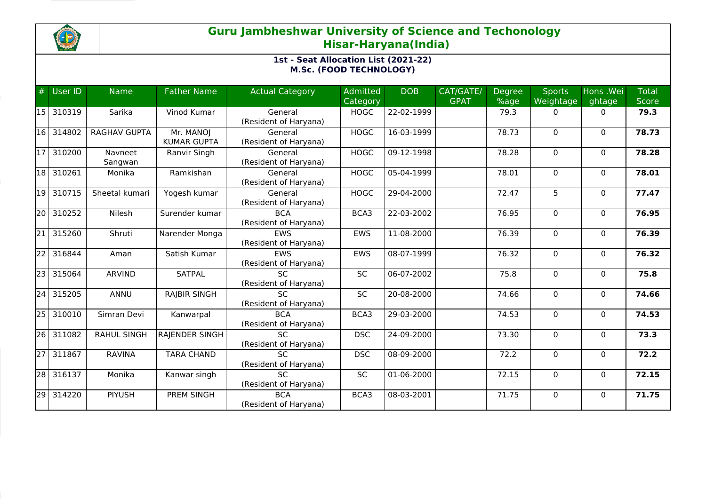

# **Guru Jambheshwar University of Science and Techonology Hisar-Haryana(India)**

## **1st - Seat Allocation List (2021-22) M.Sc. (FOOD TECHNOLOGY)**

| #               | <b>User ID</b> | <b>Name</b>         | <b>Father Name</b>              | <b>Actual Category</b>                   | Admitted<br>Category | <b>DOB</b>       | CAT/GATE/<br><b>GPAT</b> | <b>Degree</b><br>%age | <b>Sports</b><br>Weightage | Hons .Wei<br>ghtage | <b>Total</b><br><b>Score</b> |
|-----------------|----------------|---------------------|---------------------------------|------------------------------------------|----------------------|------------------|--------------------------|-----------------------|----------------------------|---------------------|------------------------------|
| 15              | 310319         | Sarika              | Vinod Kumar                     | General<br>(Resident of Haryana)         | <b>HOGC</b>          | 22-02-1999       |                          | 79.3                  | $\mathbf{0}$               | $\mathbf{0}$        | 79.3                         |
| 16              | 314802         | <b>RAGHAV GUPTA</b> | Mr. MANOJ<br><b>KUMAR GUPTA</b> | General<br>(Resident of Haryana)         | <b>HOGC</b>          | 16-03-1999       |                          | 78.73                 | 0                          | $\Omega$            | 78.73                        |
| 17              | 310200         | Navneet<br>Sangwan  | Ranvir Singh                    | General<br>(Resident of Haryana)         | <b>HOGC</b>          | 09-12-1998       |                          | 78.28                 | $\mathbf 0$                | $\Omega$            | 78.28                        |
| 18              | 310261         | Monika              | Ramkishan                       | General<br>(Resident of Haryana)         | <b>HOGC</b>          | 05-04-1999       |                          | 78.01                 | 0                          | $\mathbf{0}$        | 78.01                        |
| 19              | 310715         | Sheetal kumari      | Yogesh kumar                    | General<br>(Resident of Haryana)         | <b>HOGC</b>          | 29-04-2000       |                          | 72.47                 | 5                          | $\mathbf{0}$        | 77.47                        |
| 20              | 310252         | Nilesh              | Surender kumar                  | <b>BCA</b><br>(Resident of Haryana)      | BCA3                 | 22-03-2002       |                          | 76.95                 | 0                          | $\mathbf{0}$        | 76.95                        |
| $\overline{21}$ | 315260         | Shruti              | Narender Monga                  | <b>EWS</b><br>(Resident of Haryana)      | <b>EWS</b>           | $11 - 08 - 2000$ |                          | 76.39                 | $\mathbf 0$                | $\mathbf{0}$        | 76.39                        |
| $\overline{22}$ | 316844         | Aman                | Satish Kumar                    | <b>EWS</b><br>(Resident of Haryana)      | <b>EWS</b>           | 08-07-1999       |                          | 76.32                 | $\Omega$                   | $\Omega$            | 76.32                        |
| 23              | 315064         | <b>ARVIND</b>       | <b>SATPAL</b>                   | <b>SC</b><br>(Resident of Haryana)       | <b>SC</b>            | 06-07-2002       |                          | 75.8                  | $\mathbf 0$                | $\mathbf{0}$        | 75.8                         |
| $\overline{24}$ | 315205         | ANNU                | <b>RAJBIR SINGH</b>             | <b>SC</b><br>(Resident of Haryana)       | SC                   | 20-08-2000       |                          | 74.66                 | 0                          | $\mathbf{0}$        | 74.66                        |
| 25              | 310010         | Simran Devi         | Kanwarpal                       | <b>BCA</b><br>(Resident of Haryana)      | BCA3                 | 29-03-2000       |                          | 74.53                 | $\Omega$                   | $\Omega$            | 74.53                        |
| 26              | 311082         | <b>RAHUL SINGH</b>  | <b>RAJENDER SINGH</b>           | <b>SC</b><br>(Resident of Haryana)       | <b>DSC</b>           | 24-09-2000       |                          | 73.30                 | 0                          | $\Omega$            | 73.3                         |
| $\overline{27}$ | 311867         | <b>RAVINA</b>       | <b>TARA CHAND</b>               | $\overline{SC}$<br>(Resident of Haryana) | <b>DSC</b>           | 08-09-2000       |                          | 72.2                  | $\mathbf 0$                | $\mathbf{0}$        | 72.2                         |
| $\overline{28}$ | 316137         | Monika              | Kanwar singh                    | <b>SC</b><br>(Resident of Haryana)       | <b>SC</b>            | 01-06-2000       |                          | 72.15                 | 0                          | $\Omega$            | 72.15                        |
| 29              | 314220         | <b>PIYUSH</b>       | <b>PREM SINGH</b>               | <b>BCA</b><br>(Resident of Haryana)      | BCA3                 | 08-03-2001       |                          | 71.75                 | $\mathbf 0$                | $\Omega$            | 71.75                        |